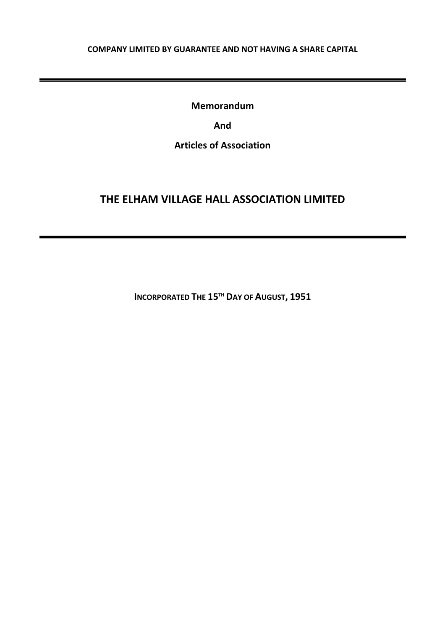## **COMPANY LIMITED BY GUARANTEE AND NOT HAVING A SHARE CAPITAL**

**Memorandum**

**And**

**Articles of Association**

# **THE ELHAM VILLAGE HALL ASSOCIATION LIMITED**

**INCORPORATED THE 15TH DAY OF AUGUST, 1951**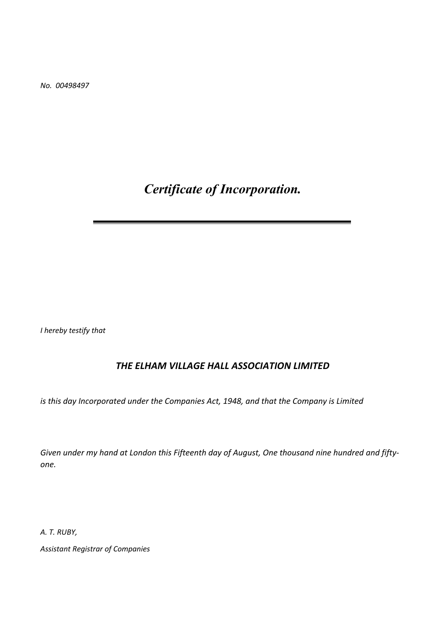*No. 00498497*

*Certificate of Incorporation.*

*I hereby testify that*

# *THE ELHAM VILLAGE HALL ASSOCIATION LIMITED*

*is this day Incorporated under the Companies Act, 1948, and that the Company is Limited*

*Given under my hand at London this Fifteenth day of August, One thousand nine hundred and fiftyone.*

*A. T. RUBY,*

*Assistant Registrar of Companies*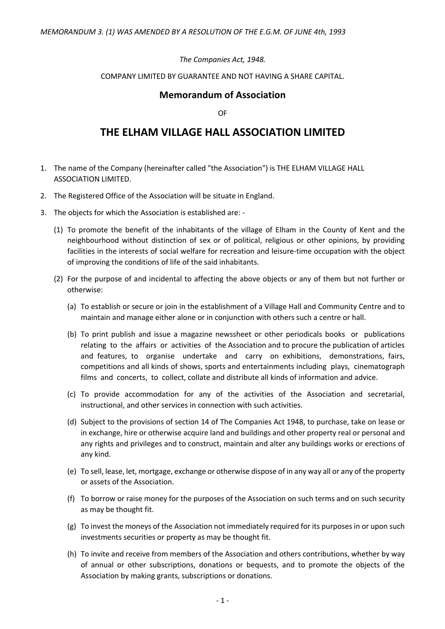## *The Companies Act, 1948.*

#### COMPANY LIMITED BY GUARANTEE AND NOT HAVING A SHARE CAPITAL.

# **Memorandum of Association**

OF

# **THE ELHAM VILLAGE HALL ASSOCIATION LIMITED**

- 1. The name of the Company (hereinafter called "the Association") is THE ELHAM VILLAGE HALL ASSOCIATION LIMITED.
- 2. The Registered Office of the Association will be situate in England.
- 3. The objects for which the Association is established are:
	- (1) To promote the benefit of the inhabitants of the village of Elham in the County of Kent and the neighbourhood without distinction of sex or of political, religious or other opinions, by providing facilities in the interests of social welfare for recreation and leisure-time occupation with the object of improving the conditions of life of the said inhabitants.
	- (2) For the purpose of and incidental to affecting the above objects or any of them but not further or otherwise:
		- (a) To establish or secure or join in the establishment of a Village Hall and Community Centre and to maintain and manage either alone or in conjunction with others such a centre or hall.
		- (b) To print publish and issue a magazine newssheet or other periodicals books or publications relating to the affairs or activities of the Association and to procure the publication of articles and features, to organise undertake and carry on exhibitions, demonstrations, fairs, competitions and all kinds of shows, sports and entertainments including plays, cinematograph films and concerts, to collect, collate and distribute all kinds of information and advice.
		- (c) To provide accommodation for any of the activities of the Association and secretarial, instructional, and other services in connection with such activities.
		- (d) Subject to the provisions of section 14 of The Companies Act 1948, to purchase, take on lease or in exchange, hire or otherwise acquire land and buildings and other property real or personal and any rights and privileges and to construct, maintain and alter any buildings works or erections of any kind.
		- (e) To sell, lease, let, mortgage, exchange or otherwise dispose of in any way all or any of the property or assets of the Association.
		- (f) To borrow or raise money for the purposes of the Association on such terms and on such security as may be thought fit.
		- (g) To invest the moneys of the Association not immediately required for its purposes in or upon such investments securities or property as may be thought fit.
		- (h) To invite and receive from members of the Association and others contributions, whether by way of annual or other subscriptions, donations or bequests, and to promote the objects of the Association by making grants, subscriptions or donations.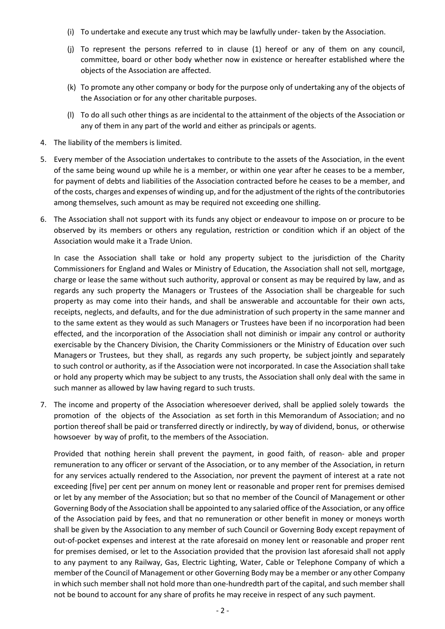- (i) To undertake and execute any trust which may be lawfully under- taken by the Association.
- (j) To represent the persons referred to in clause (1) hereof or any of them on any council, committee, board or other body whether now in existence or hereafter established where the objects of the Association are affected.
- (k) To promote any other company or body for the purpose only of undertaking any of the objects of the Association or for any other charitable purposes.
- (l) To do all such other things as are incidental to the attainment of the objects of the Association or any of them in any part of the world and either as principals or agents.
- 4. The liability of the members is limited.
- 5. Every member of the Association undertakes to contribute to the assets of the Association, in the event of the same being wound up while he is a member, or within one year after he ceases to be a member, for payment of debts and liabilities of the Association contracted before he ceases to be a member, and of the costs, charges and expenses of winding up, and for the adjustment of the rights of the contributories among themselves, such amount as may be required not exceeding one shilling.
- 6. The Association shall not support with its funds any object or endeavour to impose on or procure to be observed by its members or others any regulation, restriction or condition which if an object of the Association would make it a Trade Union.

In case the Association shall take or hold any property subject to the jurisdiction of the Charity Commissioners for England and Wales or Ministry of Education, the Association shall not sell, mortgage, charge or lease the same without such authority, approval or consent as may be required by law, and as regards any such property the Managers or Trustees of the Association shall be chargeable for such property as may come into their hands, and shall be answerable and accountable for their own acts, receipts, neglects, and defaults, and for the due administration of such property in the same manner and to the same extent as they would as such Managers or Trustees have been if no incorporation had been effected, and the incorporation of the Association shall not diminish or impair any control or authority exercisable by the Chancery Division, the Charity Commissioners or the Ministry of Education over such Managers or Trustees, but they shall, as regards any such property, be subject jointly and separately to such control or authority, as if the Association were not incorporated. In case the Association shall take or hold any property which may be subject to any trusts, the Association shall only deal with the same in such manner as allowed by law having regard to such trusts.

7. The income and property of the Association wheresoever derived, shall be applied solely towards the promotion of the objects of the Association as set forth in this Memorandum of Association; and no portion thereof shall be paid or transferred directly or indirectly, by way of dividend, bonus, or otherwise howsoever by way of profit, to the members of the Association.

Provided that nothing herein shall prevent the payment, in good faith, of reason- able and proper remuneration to any officer or servant of the Association, or to any member of the Association, in return for any services actually rendered to the Association, nor prevent the payment of interest at a rate not exceeding [five] per cent per annum on money lent or reasonable and proper rent for premises demised or let by any member of the Association; but so that no member of the Council of Management or other Governing Body of the Association shall be appointed to any salaried office of the Association, or any office of the Association paid by fees, and that no remuneration or other benefit in money or moneys worth shall be given by the Association to any member of such Council or Governing Body except repayment of out-of-pocket expenses and interest at the rate aforesaid on money lent or reasonable and proper rent for premises demised, or let to the Association provided that the provision last aforesaid shall not apply to any payment to any Railway, Gas, Electric Lighting, Water, Cable or Telephone Company of which a member of the Council of Management or other Governing Body may be a member or any other Company in which such member shall not hold more than one-hundredth part of the capital, and such member shall not be bound to account for any share of profits he may receive in respect of any such payment.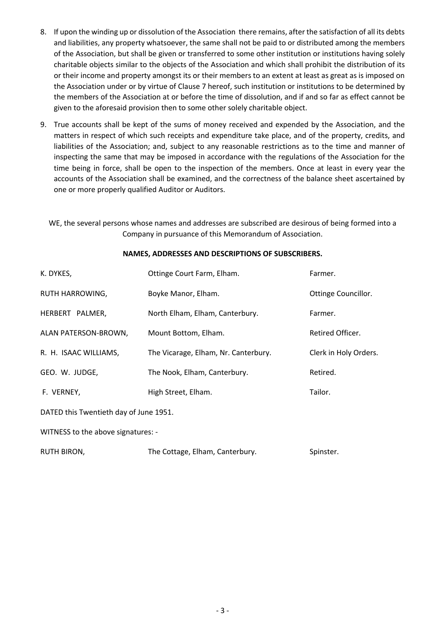- 8. If upon the winding up or dissolution of the Association there remains, after the satisfaction of all its debts and liabilities, any property whatsoever, the same shall not be paid to or distributed among the members of the Association, but shall be given or transferred to some other institution or institutions having solely charitable objects similar to the objects of the Association and which shall prohibit the distribution of its or their income and property amongst its or their members to an extent at least as great as is imposed on the Association under or by virtue of Clause 7 hereof, such institution or institutions to be determined by the members of the Association at or before the time of dissolution, and if and so far as effect cannot be given to the aforesaid provision then to some other solely charitable object.
- 9. True accounts shall be kept of the sums of money received and expended by the Association, and the matters in respect of which such receipts and expenditure take place, and of the property, credits, and liabilities of the Association; and, subject to any reasonable restrictions as to the time and manner of inspecting the same that may be imposed in accordance with the regulations of the Association for the time being in force, shall be open to the inspection of the members. Once at least in every year the accounts of the Association shall be examined, and the correctness of the balance sheet ascertained by one or more properly qualified Auditor or Auditors.

WE, the several persons whose names and addresses are subscribed are desirous of being formed into a Company in pursuance of this Memorandum of Association.

# K. DYKES, **COURT ACTES COULD FARMER COURT FARM** Farmer. RUTH HARROWING, Boyke Manor, Elham. Comments and Mottinge Councillor. HERBERT PALMER, North Elham, Elham, Canterbury. Farmer. ALAN PATERSON-BROWN, Mount Bottom, Elham. The matter of the Retired Officer. R. H. ISAAC WILLIAMS, The Vicarage, Elham, Nr. Canterbury. Clerk in Holy Orders. GEO. W. JUDGE, The Nook, Elham, Canterbury. The Nook, Elham, Canterbury. F. VERNEY, **High Street, Elham.** Tailor. DATED this Twentieth day of June 1951. WITNESS to the above signatures: - RUTH BIRON, The Cottage, Elham, Canterbury. Spinster.

#### **NAMES, ADDRESSES AND DESCRIPTIONS OF SUBSCRIBERS.**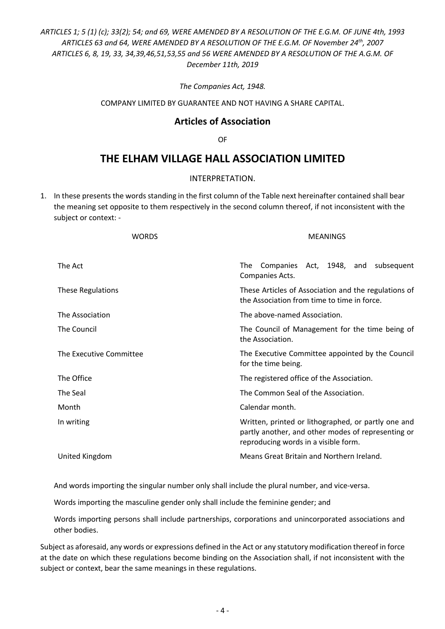# *ARTICLES 1; 5 (1) (c); 33(2); 54; and 69, WERE AMENDED BY A RESOLUTION OF THE E.G.M. OF JUNE 4th, 1993 ARTICLES 63 and 64, WERE AMENDED BY A RESOLUTION OF THE E.G.M. OF November 24th, 2007 ARTICLES 6, 8, 19, 33, 34,39,46,51,53,55 and 56 WERE AMENDED BY A RESOLUTION OF THE A.G.M. OF December 11th, 2019*

*The Companies Act, 1948.*

COMPANY LIMITED BY GUARANTEE AND NOT HAVING A SHARE CAPITAL.

# **Articles of Association**

OF

# **THE ELHAM VILLAGE HALL ASSOCIATION LIMITED**

#### INTERPRETATION.

1. In these presents the words standing in the first column of the Table next hereinafter contained shall bear the meaning set opposite to them respectively in the second column thereof, if not inconsistent with the subject or context: -

| <b>MEANINGS</b>                                                                                                                                   |
|---------------------------------------------------------------------------------------------------------------------------------------------------|
| Companies Act, 1948, and subsequent<br>The<br>Companies Acts.                                                                                     |
| These Articles of Association and the regulations of<br>the Association from time to time in force.                                               |
| The above-named Association.                                                                                                                      |
| The Council of Management for the time being of<br>the Association.                                                                               |
| The Executive Committee appointed by the Council<br>for the time being.                                                                           |
| The registered office of the Association.                                                                                                         |
| The Common Seal of the Association.                                                                                                               |
| Calendar month.                                                                                                                                   |
| Written, printed or lithographed, or partly one and<br>partly another, and other modes of representing or<br>reproducing words in a visible form. |
| Means Great Britain and Northern Ireland.                                                                                                         |
|                                                                                                                                                   |

And words importing the singular number only shall include the plural number, and vice-versa.

Words importing the masculine gender only shall include the feminine gender; and

Words importing persons shall include partnerships, corporations and unincorporated associations and other bodies.

Subject as aforesaid, any words or expressions defined in the Act or any statutory modification thereof in force at the date on which these regulations become binding on the Association shall, if not inconsistent with the subject or context, bear the same meanings in these regulations.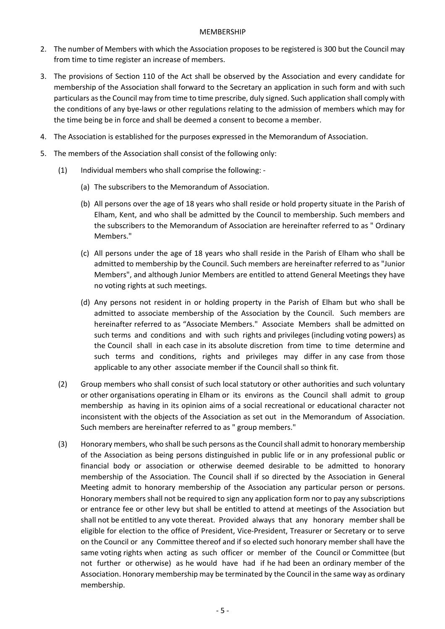#### MEMBERSHIP

- 2. The number of Members with which the Association proposes to be registered is 300 but the Council may from time to time register an increase of members.
- 3. The provisions of Section 110 of the Act shall be observed by the Association and every candidate for membership of the Association shall forward to the Secretary an application in such form and with such particulars as the Council may from time to time prescribe, duly signed. Such application shall comply with the conditions of any bye-laws or other regulations relating to the admission of members which may for the time being be in force and shall be deemed a consent to become a member.
- 4. The Association is established for the purposes expressed in the Memorandum of Association.
- 5. The members of the Association shall consist of the following only:
	- (1) Individual members who shall comprise the following:
		- (a) The subscribers to the Memorandum of Association.
		- (b) All persons over the age of 18 years who shall reside or hold property situate in the Parish of Elham, Kent, and who shall be admitted by the Council to membership. Such members and the subscribers to the Memorandum of Association are hereinafter referred to as " Ordinary Members."
		- (c) All persons under the age of 18 years who shall reside in the Parish of Elham who shall be admitted to membership by the Council. Such members are hereinafter referred to as "Junior Members", and although Junior Members are entitled to attend General Meetings they have no voting rights at such meetings.
		- (d) Any persons not resident in or holding property in the Parish of Elham but who shall be admitted to associate membership of the Association by the Council. Such members are hereinafter referred to as "Associate Members." Associate Members shall be admitted on such terms and conditions and with such rights and privileges (including voting powers) as the Council shall in each case in its absolute discretion from time to time determine and such terms and conditions, rights and privileges may differ in any case from those applicable to any other associate member if the Council shall so think fit.
	- (2) Group members who shall consist of such local statutory or other authorities and such voluntary or other organisations operating in Elham or its environs as the Council shall admit to group membership as having in its opinion aims of a social recreational or educational character not inconsistent with the objects of the Association as set out in the Memorandum of Association. Such members are hereinafter referred to as " group members."
	- (3) Honorary members, who shall be such persons as the Council shall admit to honorary membership of the Association as being persons distinguished in public life or in any professional public or financial body or association or otherwise deemed desirable to be admitted to honorary membership of the Association. The Council shall if so directed by the Association in General Meeting admit to honorary membership of the Association any particular person or persons. Honorary members shall not be required to sign any application form nor to pay any subscriptions or entrance fee or other levy but shall be entitled to attend at meetings of the Association but shall not be entitled to any vote thereat. Provided always that any honorary member shall be eligible for election to the office of President, Vice-President, Treasurer or Secretary or to serve on the Council or any Committee thereof and if so elected such honorary member shall have the same voting rights when acting as such officer or member of the Council or Committee (but not further or otherwise) as he would have had if he had been an ordinary member of the Association. Honorary membership may be terminated by the Council in the same way as ordinary membership.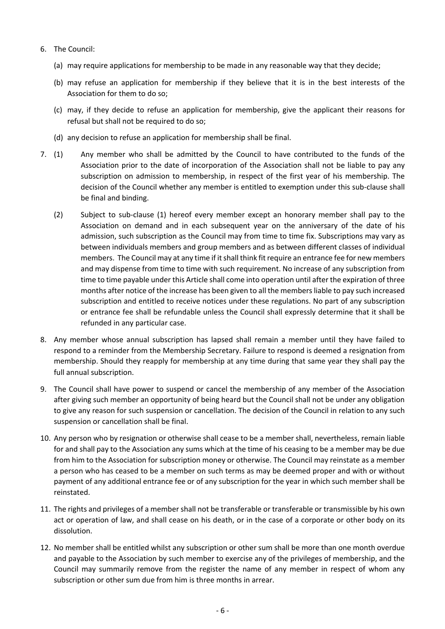- 6. The Council:
	- (a) may require applications for membership to be made in any reasonable way that they decide;
	- (b) may refuse an application for membership if they believe that it is in the best interests of the Association for them to do so;
	- (c) may, if they decide to refuse an application for membership, give the applicant their reasons for refusal but shall not be required to do so;
	- (d) any decision to refuse an application for membership shall be final.
- 7. (1) Any member who shall be admitted by the Council to have contributed to the funds of the Association prior to the date of incorporation of the Association shall not be liable to pay any subscription on admission to membership, in respect of the first year of his membership. The decision of the Council whether any member is entitled to exemption under this sub-clause shall be final and binding.
	- (2) Subject to sub-clause (1) hereof every member except an honorary member shall pay to the Association on demand and in each subsequent year on the anniversary of the date of his admission, such subscription as the Council may from time to time fix. Subscriptions may vary as between individuals members and group members and as between different classes of individual members. The Council may at any time if it shall think fit require an entrance fee for new members and may dispense from time to time with such requirement. No increase of any subscription from time to time payable under this Article shall come into operation until after the expiration of three months after notice of the increase has been given to all the members liable to pay such increased subscription and entitled to receive notices under these regulations. No part of any subscription or entrance fee shall be refundable unless the Council shall expressly determine that it shall be refunded in any particular case.
- 8. Any member whose annual subscription has lapsed shall remain a member until they have failed to respond to a reminder from the Membership Secretary. Failure to respond is deemed a resignation from membership. Should they reapply for membership at any time during that same year they shall pay the full annual subscription.
- 9. The Council shall have power to suspend or cancel the membership of any member of the Association after giving such member an opportunity of being heard but the Council shall not be under any obligation to give any reason for such suspension or cancellation. The decision of the Council in relation to any such suspension or cancellation shall be final.
- 10. Any person who by resignation or otherwise shall cease to be a member shall, nevertheless, remain liable for and shall pay to the Association any sums which at the time of his ceasing to be a member may be due from him to the Association for subscription money or otherwise. The Council may reinstate as a member a person who has ceased to be a member on such terms as may be deemed proper and with or without payment of any additional entrance fee or of any subscription for the year in which such member shall be reinstated.
- 11. The rights and privileges of a member shall not be transferable or transferable or transmissible by his own act or operation of law, and shall cease on his death, or in the case of a corporate or other body on its dissolution.
- 12. No member shall be entitled whilst any subscription or other sum shall be more than one month overdue and payable to the Association by such member to exercise any of the privileges of membership, and the Council may summarily remove from the register the name of any member in respect of whom any subscription or other sum due from him is three months in arrear.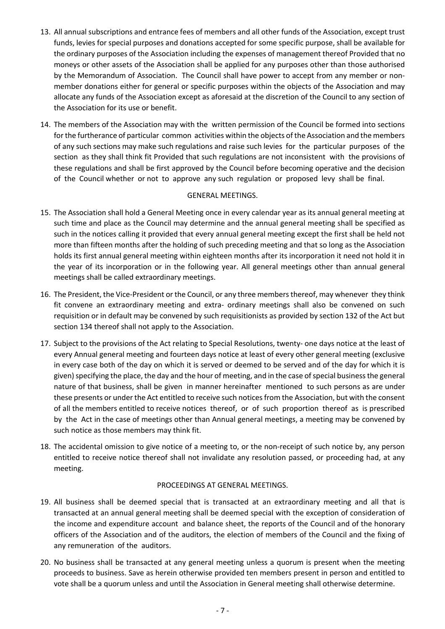- 13. All annual subscriptions and entrance fees of members and all other funds of the Association, except trust funds, levies for special purposes and donations accepted for some specific purpose, shall be available for the ordinary purposes of the Association including the expenses of management thereof Provided that no moneys or other assets of the Association shall be applied for any purposes other than those authorised by the Memorandum of Association. The Council shall have power to accept from any member or nonmember donations either for general or specific purposes within the objects of the Association and may allocate any funds of the Association except as aforesaid at the discretion of the Council to any section of the Association for its use or benefit.
- 14. The members of the Association may with the written permission of the Council be formed into sections for the furtherance of particular common activities within the objects of the Association and the members of any such sections may make such regulations and raise such levies for the particular purposes of the section as they shall think fit Provided that such regulations are not inconsistent with the provisions of these regulations and shall be first approved by the Council before becoming operative and the decision of the Council whether or not to approve any such regulation or proposed levy shall be final.

#### GENERAL MEETINGS.

- 15. The Association shall hold a General Meeting once in every calendar year as its annual general meeting at such time and place as the Council may determine and the annual general meeting shall be specified as such in the notices calling it provided that every annual general meeting except the first shall be held not more than fifteen months after the holding of such preceding meeting and that so long as the Association holds its first annual general meeting within eighteen months after its incorporation it need not hold it in the year of its incorporation or in the following year. All general meetings other than annual general meetings shall be called extraordinary meetings.
- 16. The President, the Vice-President or the Council, or any three members thereof, may whenever they think fit convene an extraordinary meeting and extra- ordinary meetings shall also be convened on such requisition or in default may be convened by such requisitionists as provided by section 132 of the Act but section 134 thereof shall not apply to the Association.
- 17. Subject to the provisions of the Act relating to Special Resolutions, twenty- one days notice at the least of every Annual general meeting and fourteen days notice at least of every other general meeting (exclusive in every case both of the day on which it is served or deemed to be served and of the day for which it is given) specifying the place, the day and the hour of meeting, and in the case of special business the general nature of that business, shall be given in manner hereinafter mentioned to such persons as are under these presents or under the Act entitled to receive such notices from the Association, but with the consent of all the members entitled to receive notices thereof, or of such proportion thereof as is prescribed by the Act in the case of meetings other than Annual general meetings, a meeting may be convened by such notice as those members may think fit.
- 18. The accidental omission to give notice of a meeting to, or the non-receipt of such notice by, any person entitled to receive notice thereof shall not invalidate any resolution passed, or proceeding had, at any meeting.

## PROCEEDINGS AT GENERAL MEETINGS.

- 19. All business shall be deemed special that is transacted at an extraordinary meeting and all that is transacted at an annual general meeting shall be deemed special with the exception of consideration of the income and expenditure account and balance sheet, the reports of the Council and of the honorary officers of the Association and of the auditors, the election of members of the Council and the fixing of any remuneration of the auditors.
- 20. No business shall be transacted at any general meeting unless a quorum is present when the meeting proceeds to business. Save as herein otherwise provided ten members present in person and entitled to vote shall be a quorum unless and until the Association in General meeting shall otherwise determine.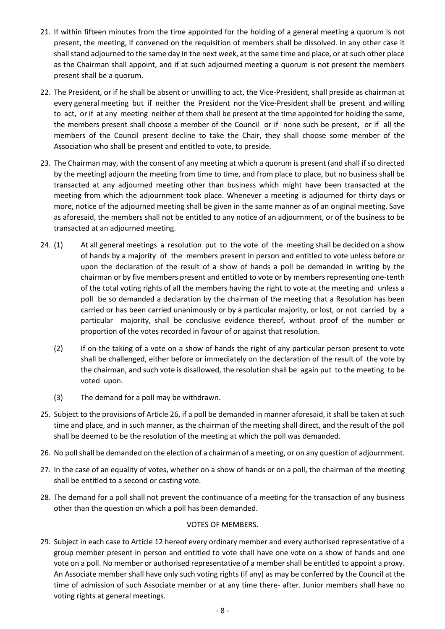- 21. If within fifteen minutes from the time appointed for the holding of a general meeting a quorum is not present, the meeting, if convened on the requisition of members shall be dissolved. In any other case it shall stand adjourned to the same day in the next week, at the same time and place, or at such other place as the Chairman shall appoint, and if at such adjourned meeting a quorum is not present the members present shall be a quorum.
- 22. The President, or if he shall be absent or unwilling to act, the Vice-President, shall preside as chairman at every general meeting but if neither the President nor the Vice-President shall be present and willing to act, or if at any meeting neither of them shall be present at the time appointed for holding the same, the members present shall choose a member of the Council or if none such be present, or if all the members of the Council present decline to take the Chair, they shall choose some member of the Association who shall be present and entitled to vote, to preside.
- 23. The Chairman may, with the consent of any meeting at which a quorum is present (and shall if so directed by the meeting) adjourn the meeting from time to time, and from place to place, but no business shall be transacted at any adjourned meeting other than business which might have been transacted at the meeting from which the adjournment took place. Whenever a meeting is adjourned for thirty days or more, notice of the adjourned meeting shall be given in the same manner as of an original meeting. Save as aforesaid, the members shall not be entitled to any notice of an adjournment, or of the business to be transacted at an adjourned meeting.
- 24. (1) At all general meetings a resolution put to the vote of the meeting shall be decided on a show of hands by a majority of the members present in person and entitled to vote unless before or upon the declaration of the result of a show of hands a poll be demanded in writing by the chairman or by five members present and entitled to vote or by members representing one-tenth of the total voting rights of all the members having the right to vote at the meeting and unless a poll be so demanded a declaration by the chairman of the meeting that a Resolution has been carried or has been carried unanimously or by a particular majority, or lost, or not carried by a particular majority, shall be conclusive evidence thereof, without proof of the number or proportion of the votes recorded in favour of or against that resolution.
	- (2) If on the taking of a vote on a show of hands the right of any particular person present to vote shall be challenged, either before or immediately on the declaration of the result of the vote by the chairman, and such vote is disallowed, the resolution shall be again put to the meeting to be voted upon.
	- (3) The demand for a poll may be withdrawn.
- 25. Subject to the provisions of Article 26, if a poll be demanded in manner aforesaid, it shall be taken at such time and place, and in such manner, as the chairman of the meeting shall direct, and the result of the poll shall be deemed to be the resolution of the meeting at which the poll was demanded.
- 26. No poll shall be demanded on the election of a chairman of a meeting, or on any question of adjournment.
- 27. In the case of an equality of votes, whether on a show of hands or on a poll, the chairman of the meeting shall be entitled to a second or casting vote.
- 28. The demand for a poll shall not prevent the continuance of a meeting for the transaction of any business other than the question on which a poll has been demanded.

#### VOTES OF MEMBERS.

29. Subject in each case to Article 12 hereof every ordinary member and every authorised representative of a group member present in person and entitled to vote shall have one vote on a show of hands and one vote on a poll. No member or authorised representative of a member shall be entitled to appoint a proxy. An Associate member shall have only such voting rights (if any) as may be conferred by the Council at the time of admission of such Associate member or at any time there- after. Junior members shall have no voting rights at general meetings.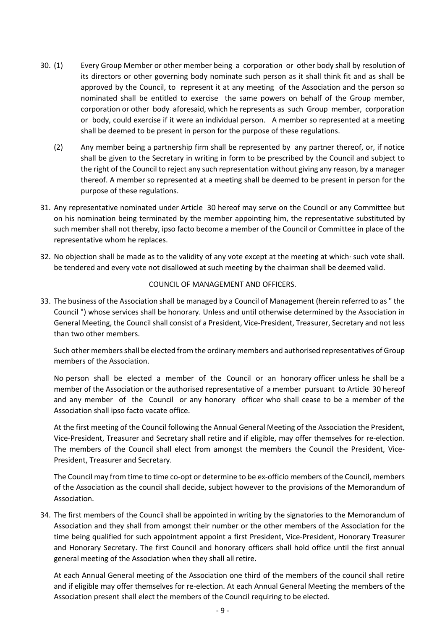- 30. (1) Every Group Member or other member being a corporation or other body shall by resolution of its directors or other governing body nominate such person as it shall think fit and as shall be approved by the Council, to represent it at any meeting of the Association and the person so nominated shall be entitled to exercise the same powers on behalf of the Group member, corporation or other body aforesaid, which he represents as such Group member, corporation or body, could exercise if it were an individual person. A member so represented at a meeting shall be deemed to be present in person for the purpose of these regulations.
	- (2) Any member being a partnership firm shall be represented by any partner thereof, or, if notice shall be given to the Secretary in writing in form to be prescribed by the Council and subject to the right of the Council to reject any such representation without giving any reason, by a manager thereof. A member so represented at a meeting shall be deemed to be present in person for the purpose of these regulations.
- 31. Any representative nominated under Article 30 hereof may serve on the Council or any Committee but on his nomination being terminated by the member appointing him, the representative substituted by such member shall not thereby, ipso facto become a member of the Council or Committee in place of the representative whom he replaces.
- 32. No objection shall be made as to the validity of any vote except at the meeting at which· such vote shall. be tendered and every vote not disallowed at such meeting by the chairman shall be deemed valid.

#### COUNCIL OF MANAGEMENT AND OFFICERS.

33. The business of the Association shall be managed by a Council of Management (herein referred to as " the Council ") whose services shall be honorary. Unless and until otherwise determined by the Association in General Meeting, the Council shall consist of a President, Vice-President, Treasurer, Secretary and not less than two other members.

Such other members shall be elected from the ordinary members and authorised representatives of Group members of the Association.

No person shall be elected a member of the Council or an honorary officer unless he shall be a member of the Association or the authorised representative of a member pursuant to Article 30 hereof and any member of the Council or any honorary officer who shall cease to be a member of the Association shall ipso facto vacate office.

At the first meeting of the Council following the Annual General Meeting of the Association the President, Vice-President, Treasurer and Secretary shall retire and if eligible, may offer themselves for re-election. The members of the Council shall elect from amongst the members the Council the President, Vice-President, Treasurer and Secretary.

The Council may from time to time co-opt or determine to be ex-officio members of the Council, members of the Association as the council shall decide, subject however to the provisions of the Memorandum of Association.

34. The first members of the Council shall be appointed in writing by the signatories to the Memorandum of Association and they shall from amongst their number or the other members of the Association for the time being qualified for such appointment appoint a first President, Vice-President, Honorary Treasurer and Honorary Secretary. The first Council and honorary officers shall hold office until the first annual general meeting of the Association when they shall all retire.

At each Annual General meeting of the Association one third of the members of the council shall retire and if eligible may offer themselves for re-election. At each Annual General Meeting the members of the Association present shall elect the members of the Council requiring to be elected.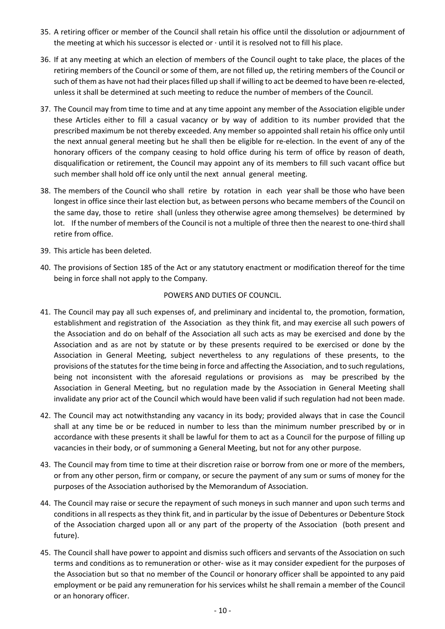- 35. A retiring officer or member of the Council shall retain his office until the dissolution or adjournment of the meeting at which his successor is elected or · until it is resolved not to fill his place.
- 36. If at any meeting at which an election of members of the Council ought to take place, the places of the retiring members of the Council or some of them, are not filled up, the retiring members of the Council or such of them as have not had their places filled up shall if willing to act be deemed to have been re-elected, unless it shall be determined at such meeting to reduce the number of members of the Council.
- 37. The Council may from time to time and at any time appoint any member of the Association eligible under these Articles either to fill a casual vacancy or by way of addition to its number provided that the prescribed maximum be not thereby exceeded. Any member so appointed shall retain his office only until the next annual general meeting but he shall then be eligible for re-election. In the event of any of the honorary officers of the company ceasing to hold office during his term of office by reason of death, disqualification or retirement, the Council may appoint any of its members to fill such vacant office but such member shall hold off ice only until the next annual general meeting.
- 38. The members of the Council who shall retire by rotation in each year shall be those who have been longest in office since their last election but, as between persons who became members of the Council on the same day, those to retire shall (unless they otherwise agree among themselves) be determined by lot. If the number of members of the Council is not a multiple of three then the nearest to one-third shall retire from office.
- 39. This article has been deleted.
- 40. The provisions of Section 185 of the Act or any statutory enactment or modification thereof for the time being in force shall not apply to the Company.

#### POWERS AND DUTIES OF COUNCIL.

- 41. The Council may pay all such expenses of, and preliminary and incidental to, the promotion, formation, establishment and registration of the Association as they think fit, and may exercise all such powers of the Association and do on behalf of the Association all such acts as may be exercised and done by the Association and as are not by statute or by these presents required to be exercised or done by the Association in General Meeting, subject nevertheless to any regulations of these presents, to the provisions of the statutes for the time being in force and affecting the Association, and to such regulations, being not inconsistent with the aforesaid regulations or provisions as may be prescribed by the Association in General Meeting, but no regulation made by the Association in General Meeting shall invalidate any prior act of the Council which would have been valid if such regulation had not been made.
- 42. The Council may act notwithstanding any vacancy in its body; provided always that in case the Council shall at any time be or be reduced in number to less than the minimum number prescribed by or in accordance with these presents it shall be lawful for them to act as a Council for the purpose of filling up vacancies in their body, or of summoning a General Meeting, but not for any other purpose.
- 43. The Council may from time to time at their discretion raise or borrow from one or more of the members, or from any other person, firm or company, or secure the payment of any sum or sums of money for the purposes of the Association authorised by the Memorandum of Association.
- 44. The Council may raise or secure the repayment of such moneys in such manner and upon such terms and conditions in all respects as they think fit, and in particular by the issue of Debentures or Debenture Stock of the Association charged upon all or any part of the property of the Association (both present and future).
- 45. The Council shall have power to appoint and dismiss such officers and servants of the Association on such terms and conditions as to remuneration or other- wise as it may consider expedient for the purposes of the Association but so that no member of the Council or honorary officer shall be appointed to any paid employment or be paid any remuneration for his services whilst he shall remain a member of the Council or an honorary officer.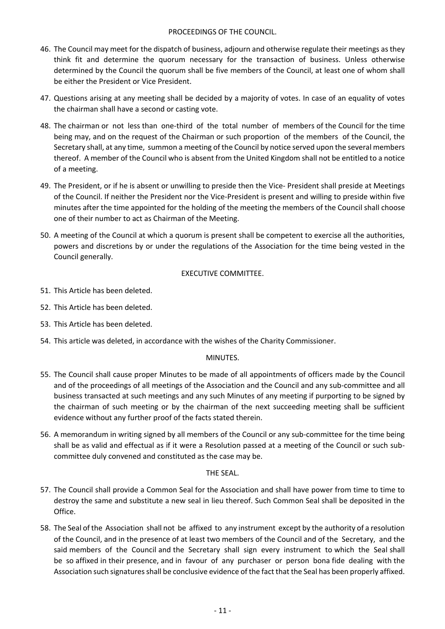#### PROCEEDINGS OF THE COUNCIL.

- 46. The Council may meet for the dispatch of business, adjourn and otherwise regulate their meetings as they think fit and determine the quorum necessary for the transaction of business. Unless otherwise determined by the Council the quorum shall be five members of the Council, at least one of whom shall be either the President or Vice President.
- 47. Questions arising at any meeting shall be decided by a majority of votes. In case of an equality of votes the chairman shall have a second or casting vote.
- 48. The chairman or not less than one-third of the total number of members of the Council for the time being may, and on the request of the Chairman or such proportion of the members of the Council, the Secretary shall, at any time, summon a meeting of the Council by notice served upon the several members thereof. A member of the Council who is absent from the United Kingdom shall not be entitled to a notice of a meeting.
- 49. The President, or if he is absent or unwilling to preside then the Vice- President shall preside at Meetings of the Council. If neither the President nor the Vice-President is present and willing to preside within five minutes after the time appointed for the holding of the meeting the members of the Council shall choose one of their number to act as Chairman of the Meeting.
- 50. A meeting of the Council at which a quorum is present shall be competent to exercise all the authorities, powers and discretions by or under the regulations of the Association for the time being vested in the Council generally.

## EXECUTIVE COMMITTEE.

- 51. This Article has been deleted.
- 52. This Article has been deleted.
- 53. This Article has been deleted.
- 54. This article was deleted, in accordance with the wishes of the Charity Commissioner.

#### MINUTES.

- 55. The Council shall cause proper Minutes to be made of all appointments of officers made by the Council and of the proceedings of all meetings of the Association and the Council and any sub-committee and all business transacted at such meetings and any such Minutes of any meeting if purporting to be signed by the chairman of such meeting or by the chairman of the next succeeding meeting shall be sufficient evidence without any further proof of the facts stated therein.
- 56. A memorandum in writing signed by all members of the Council or any sub-committee for the time being shall be as valid and effectual as if it were a Resolution passed at a meeting of the Council or such subcommittee duly convened and constituted as the case may be.

#### THE SEAL.

- 57. The Council shall provide a Common Seal for the Association and shall have power from time to time to destroy the same and substitute a new seal in lieu thereof. Such Common Seal shall be deposited in the Office.
- 58. The Seal of the Association shall not be affixed to any instrument except by the authority of a resolution of the Council, and in the presence of at least two members of the Council and of the Secretary, and the said members of the Council and the Secretary shall sign every instrument to which the Seal shall be so affixed in their presence, and in favour of any purchaser or person bona fide dealing with the Association such signatures shall be conclusive evidence of the fact that the Seal has been properly affixed.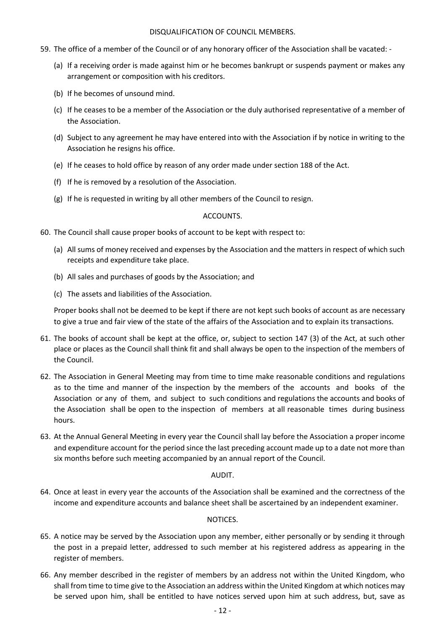#### DISQUALIFICATION OF COUNCIL MEMBERS.

- 59. The office of a member of the Council or of any honorary officer of the Association shall be vacated:
	- (a) If a receiving order is made against him or he becomes bankrupt or suspends payment or makes any arrangement or composition with his creditors.
	- (b) If he becomes of unsound mind.
	- (c) If he ceases to be a member of the Association or the duly authorised representative of a member of the Association.
	- (d) Subject to any agreement he may have entered into with the Association if by notice in writing to the Association he resigns his office.
	- (e) If he ceases to hold office by reason of any order made under section 188 of the Act.
	- (f) If he is removed by a resolution of the Association.
	- (g) If he is requested in writing by all other members of the Council to resign.

#### ACCOUNTS.

- 60. The Council shall cause proper books of account to be kept with respect to:
	- (a) All sums of money received and expenses by the Association and the matters in respect of which such receipts and expenditure take place.
	- (b) All sales and purchases of goods by the Association; and
	- (c) The assets and liabilities of the Association.

Proper books shall not be deemed to be kept if there are not kept such books of account as are necessary to give a true and fair view of the state of the affairs of the Association and to explain its transactions.

- 61. The books of account shall be kept at the office, or, subject to section 147 (3) of the Act, at such other place or places as the Council shall think fit and shall always be open to the inspection of the members of the Council.
- 62. The Association in General Meeting may from time to time make reasonable conditions and regulations as to the time and manner of the inspection by the members of the accounts and books of the Association or any of them, and subject to such conditions and regulations the accounts and books of the Association shall be open to the inspection of members at all reasonable times during business hours.
- 63. At the Annual General Meeting in every year the Council shall lay before the Association a proper income and expenditure account for the period since the last preceding account made up to a date not more than six months before such meeting accompanied by an annual report of the Council.

#### AUDIT.

64. Once at least in every year the accounts of the Association shall be examined and the correctness of the income and expenditure accounts and balance sheet shall be ascertained by an independent examiner.

#### NOTICES.

- 65. A notice may be served by the Association upon any member, either personally or by sending it through the post in a prepaid letter, addressed to such member at his registered address as appearing in the register of members.
- 66. Any member described in the register of members by an address not within the United Kingdom, who shall from time to time give to the Association an address within the United Kingdom at which notices may be served upon him, shall be entitled to have notices served upon him at such address, but, save as